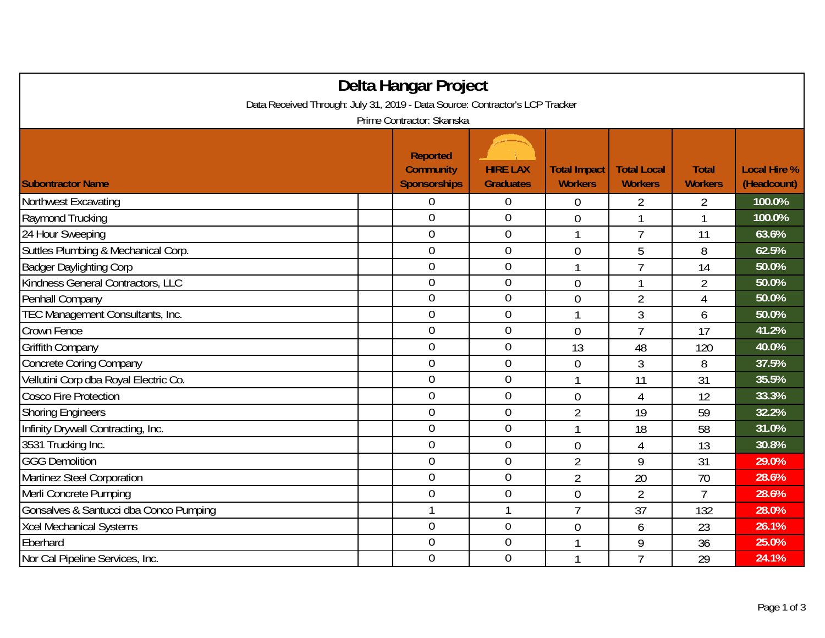| Delta Hangar Project                                                         |                                                            |                                     |                                       |                                      |                                |                                    |  |  |
|------------------------------------------------------------------------------|------------------------------------------------------------|-------------------------------------|---------------------------------------|--------------------------------------|--------------------------------|------------------------------------|--|--|
| Data Received Through: July 31, 2019 - Data Source: Contractor's LCP Tracker |                                                            |                                     |                                       |                                      |                                |                                    |  |  |
| Prime Contractor: Skanska                                                    |                                                            |                                     |                                       |                                      |                                |                                    |  |  |
| <b>Subontractor Name</b>                                                     | <b>Reported</b><br><b>Community</b><br><b>Sponsorships</b> | <b>HIRE LAX</b><br><b>Graduates</b> | <b>Total Impact</b><br><b>Workers</b> | <b>Total Local</b><br><b>Workers</b> | <b>Total</b><br><b>Workers</b> | <b>Local Hire %</b><br>(Headcount) |  |  |
| Northwest Excavating                                                         | 0                                                          | 0                                   | 0                                     | $\overline{2}$                       | $\overline{2}$                 | 100.0%                             |  |  |
| Raymond Trucking                                                             | $\overline{0}$                                             | $\boldsymbol{0}$                    | 0                                     | 1                                    | 1                              | 100.0%                             |  |  |
| 24 Hour Sweeping                                                             | $\mathbf 0$                                                | $\mathbf 0$                         | 1                                     | $\overline{7}$                       | 11                             | 63.6%                              |  |  |
| Suttles Plumbing & Mechanical Corp.                                          | $\overline{0}$                                             | $\mathbf 0$                         | 0                                     | 5                                    | 8                              | 62.5%                              |  |  |
| <b>Badger Daylighting Corp</b>                                               | $\overline{0}$                                             | $\overline{0}$                      | 1                                     | $\overline{1}$                       | 14                             | 50.0%                              |  |  |
| Kindness General Contractors, LLC                                            | $\overline{0}$                                             | $\mathbf 0$                         | 0                                     |                                      | $\overline{2}$                 | 50.0%                              |  |  |
| Penhall Company                                                              | $\overline{0}$                                             | $\boldsymbol{0}$                    | $\overline{0}$                        | $\overline{2}$                       | $\overline{4}$                 | 50.0%                              |  |  |
| TEC Management Consultants, Inc.                                             | $\mathbf 0$                                                | $\mathbf 0$                         | 1                                     | $\mathfrak{Z}$                       | 6                              | 50.0%                              |  |  |
| Crown Fence                                                                  | $\overline{0}$                                             | $\mathbf 0$                         | $\overline{0}$                        | $\overline{7}$                       | 17                             | 41.2%                              |  |  |
| Griffith Company                                                             | $\overline{0}$                                             | $\mathbf{0}$                        | 13                                    | 48                                   | 120                            | 40.0%                              |  |  |
| <b>Concrete Coring Company</b>                                               | $\overline{0}$                                             | $\mathbf 0$                         | $\overline{0}$                        | 3                                    | 8                              | 37.5%                              |  |  |
| Vellutini Corp dba Royal Electric Co.                                        | $\overline{0}$                                             | $\mathbf 0$                         | 1                                     | 11                                   | 31                             | 35.5%                              |  |  |
| <b>Cosco Fire Protection</b>                                                 | $\overline{0}$                                             | $\overline{0}$                      | $\overline{0}$                        | 4                                    | 12                             | 33.3%                              |  |  |
| <b>Shoring Engineers</b>                                                     | $\overline{0}$                                             | $\mathbf{0}$                        | $\overline{2}$                        | 19                                   | 59                             | 32.2%                              |  |  |
| Infinity Drywall Contracting, Inc.                                           | $\overline{0}$                                             | $\overline{0}$                      | 1                                     | 18                                   | 58                             | 31.0%                              |  |  |
| 3531 Trucking Inc.                                                           | $\overline{0}$                                             | $\boldsymbol{0}$                    | 0                                     | 4                                    | 13                             | 30.8%                              |  |  |
| <b>GGG Demolition</b>                                                        | $\overline{0}$                                             | $\mathbf 0$                         | $\overline{2}$                        | 9                                    | 31                             | 29.0%                              |  |  |
| Martinez Steel Corporation                                                   | $\overline{0}$                                             | $\mathbf 0$                         | $\overline{2}$                        | 20                                   | 70                             | 28.6%                              |  |  |
| Merli Concrete Pumping                                                       | $\overline{0}$                                             | $\mathbf 0$                         | $\overline{0}$                        | $\overline{2}$                       | $\overline{7}$                 | 28.6%                              |  |  |
| Gonsalves & Santucci dba Conco Pumping                                       | 1                                                          | $\mathbf{1}$                        | $\overline{1}$                        | 37                                   | 132                            | 28.0%                              |  |  |
| Xcel Mechanical Systems                                                      | $\overline{0}$                                             | $\boldsymbol{0}$                    | 0                                     | 6                                    | 23                             | 26.1%                              |  |  |
| Eberhard                                                                     | $\overline{0}$                                             | $\overline{0}$                      | 1                                     | 9                                    | 36                             | 25.0%                              |  |  |
| Nor Cal Pipeline Services, Inc.                                              | $\overline{0}$                                             | $\overline{0}$                      | 1                                     | $\overline{7}$                       | 29                             | 24.1%                              |  |  |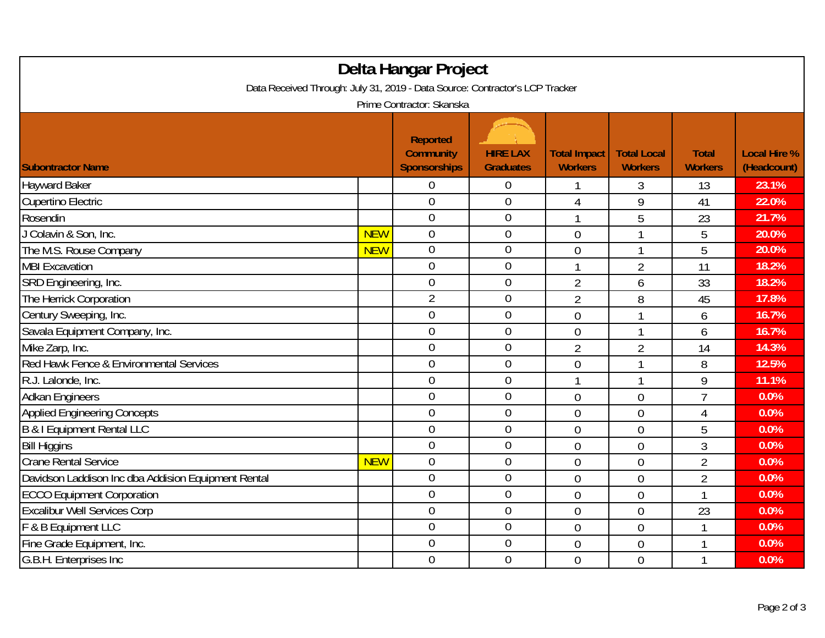| Delta Hangar Project<br>Data Received Through: July 31, 2019 - Data Source: Contractor's LCP Tracker |            |                                                            |                                     |                                       |                                      |                                |                                    |  |
|------------------------------------------------------------------------------------------------------|------------|------------------------------------------------------------|-------------------------------------|---------------------------------------|--------------------------------------|--------------------------------|------------------------------------|--|
| Prime Contractor: Skanska                                                                            |            |                                                            |                                     |                                       |                                      |                                |                                    |  |
| <b>Subontractor Name</b>                                                                             |            | <b>Reported</b><br><b>Community</b><br><b>Sponsorships</b> | <b>HIRE LAX</b><br><b>Graduates</b> | <b>Total Impact</b><br><b>Workers</b> | <b>Total Local</b><br><b>Workers</b> | <b>Total</b><br><b>Workers</b> | <b>Local Hire %</b><br>(Headcount) |  |
| <b>Hayward Baker</b>                                                                                 |            | 0                                                          | 0                                   |                                       | 3                                    | 13                             | 23.1%                              |  |
| <b>Cupertino Electric</b>                                                                            |            | $\overline{0}$                                             | $\boldsymbol{0}$                    | 4                                     | 9                                    | 41                             | 22.0%                              |  |
| Rosendin                                                                                             |            | $\overline{0}$                                             | $\boldsymbol{0}$                    | $\overline{\phantom{a}}$              | 5                                    | 23                             | 21.7%                              |  |
| J Colavin & Son, Inc.                                                                                | <b>NEW</b> | $\overline{0}$                                             | $\boldsymbol{0}$                    | $\overline{0}$                        |                                      | 5                              | 20.0%                              |  |
| The M.S. Rouse Company                                                                               | <b>NEW</b> | $\overline{0}$                                             | $\boldsymbol{0}$                    | $\overline{0}$                        | $\overline{1}$                       | 5                              | 20.0%                              |  |
| <b>MBI</b> Excavation                                                                                |            | $\overline{0}$                                             | $\overline{0}$                      | 1                                     | $\overline{2}$                       | 11                             | 18.2%                              |  |
| SRD Engineering, Inc.                                                                                |            | 0                                                          | $\mathbf 0$                         | $\overline{2}$                        | 6                                    | 33                             | 18.2%                              |  |
| The Herrick Corporation                                                                              |            | $\overline{2}$                                             | $\boldsymbol{0}$                    | $\overline{2}$                        | 8                                    | 45                             | 17.8%                              |  |
| Century Sweeping, Inc.                                                                               |            | $\overline{0}$                                             | $\boldsymbol{0}$                    | 0                                     |                                      | 6                              | 16.7%                              |  |
| Savala Equipment Company, Inc.                                                                       |            | $\mathbf 0$                                                | $\boldsymbol{0}$                    | $\overline{0}$                        | 1                                    | 6                              | 16.7%                              |  |
| Mike Zarp, Inc.                                                                                      |            | $\overline{0}$                                             | $\overline{0}$                      | $\overline{2}$                        | $\overline{2}$                       | 14                             | 14.3%                              |  |
| Red Hawk Fence & Environmental Services                                                              |            | $\mathbf 0$                                                | $\boldsymbol{0}$                    | 0                                     | $\mathbf{1}$                         | 8                              | 12.5%                              |  |
| R.J. Lalonde, Inc.                                                                                   |            | $\mathbf 0$                                                | $\overline{0}$                      | 1                                     | 1                                    | 9                              | 11.1%                              |  |
| <b>Adkan Engineers</b>                                                                               |            | $\overline{0}$                                             | $\boldsymbol{0}$                    | $\overline{0}$                        | $\overline{0}$                       | $\overline{1}$                 | 0.0%                               |  |
| <b>Applied Engineering Concepts</b>                                                                  |            | $\overline{0}$                                             | $\boldsymbol{0}$                    | $\overline{0}$                        | $\overline{0}$                       | 4                              | 0.0%                               |  |
| B & I Equipment Rental LLC                                                                           |            | $\mathbf 0$                                                | $\boldsymbol{0}$                    | $\overline{0}$                        | $\overline{0}$                       | 5                              | 0.0%                               |  |
| <b>Bill Higgins</b>                                                                                  |            | $\overline{0}$                                             | $\boldsymbol{0}$                    | $\overline{0}$                        | $\overline{0}$                       | 3                              | 0.0%                               |  |
| <b>Crane Rental Service</b>                                                                          | <b>NEW</b> | $\overline{0}$                                             | $\overline{0}$                      | $\overline{0}$                        | $\overline{0}$                       | $\overline{2}$                 | 0.0%                               |  |
| Davidson Laddison Inc dba Addision Equipment Rental                                                  |            | $\overline{0}$                                             | $\boldsymbol{0}$                    | $\mathbf 0$                           | $\overline{0}$                       | $\overline{2}$                 | 0.0%                               |  |
| <b>ECCO Equipment Corporation</b>                                                                    |            | $\overline{0}$                                             | $\boldsymbol{0}$                    | $\overline{0}$                        | $\overline{0}$                       | 1                              | 0.0%                               |  |
| <b>Excalibur Well Services Corp</b>                                                                  |            | $\overline{0}$                                             | $\boldsymbol{0}$                    | $\mathbf 0$                           | $\overline{0}$                       | 23                             | 0.0%                               |  |
| F & B Equipment LLC                                                                                  |            | $\mathbf 0$                                                | $\boldsymbol{0}$                    | $\overline{0}$                        | $\overline{0}$                       | $\mathbf{1}$                   | 0.0%                               |  |
| Fine Grade Equipment, Inc.                                                                           |            | $\overline{0}$                                             | $\boldsymbol{0}$                    | 0                                     | $\overline{0}$                       | 1                              | 0.0%                               |  |
| G.B.H. Enterprises Inc.                                                                              |            | $\overline{0}$                                             | $\mathbf 0$                         | $\overline{0}$                        | $\overline{0}$                       | 1                              | 0.0%                               |  |